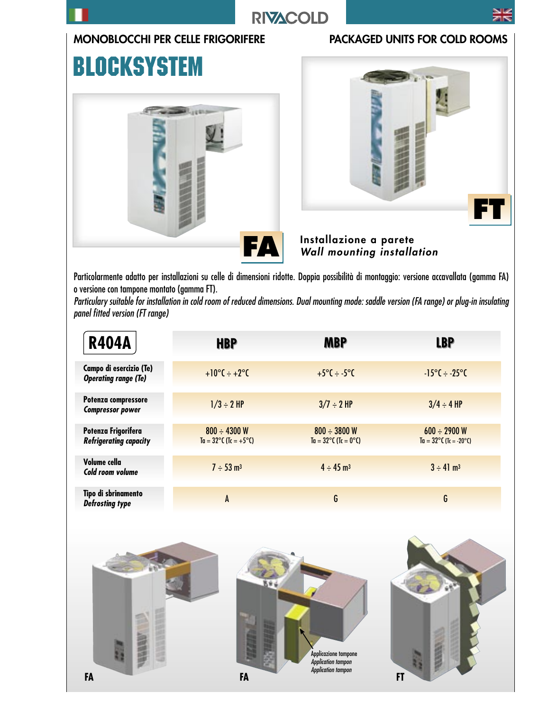

## **RIVACOLD**

### MONOBLOCCHI PER CELLE FRIGORIFERE PACKAGED UNITS FOR COLD ROOMS

# **BLOCKSYSTEM**





Installazione a parete Wall mounting installation

Particolarmente adatto per installazioni su celle di dimensioni ridotte. Doppia possibilità di montaggio: versione accavallata (gamma FA) o versione con tampone montato (gamma FT).

Particulary suitable for installation in cold room of reduced dimensions. Dual mounting mode: saddle version (FA range) or plug-in insulating panel fitted version (FT range)

| <b>R404A</b>                                           | <b>HBP</b>                                                 | <b>MBP</b>                                         | <b>LBP</b>                                                  |
|--------------------------------------------------------|------------------------------------------------------------|----------------------------------------------------|-------------------------------------------------------------|
| Campo di esercizio (Te)<br><b>Operating range (Te)</b> | $+10^{\circ}C \div +2^{\circ}C$                            | $+5^{\circ}$ C ÷ -5 $^{\circ}$ C                   | $-15^{\circ}C \div -25^{\circ}C$                            |
| Potenza compressore<br><b>Compressor power</b>         | $1/3 \div 2$ HP                                            | $3/7 \div 2$ HP                                    | $3/4 \div 4$ HP                                             |
| Potenza Frigorifera<br><b>Refrigerating capacity</b>   | $800 \div 4300$ W<br>$Ta = 32^{\circ}C (Tc = +5^{\circ}C)$ | $800 \div 3800$ W<br>$Ta = 32^{\circ}C$ (Tc = 0°C) | $600 \div 2900$ W<br>$Ta = 32^{\circ}C (Tc = -20^{\circ}C)$ |
| Volume cella<br>Cold room volume                       | $7 \div 53$ m <sup>3</sup>                                 | $4 \div 45$ m <sup>3</sup>                         | $3 \div 41 \text{ m}^3$                                     |
| Tipo di sbrinamento<br><b>Defrosting type</b>          | A                                                          | G                                                  | G                                                           |

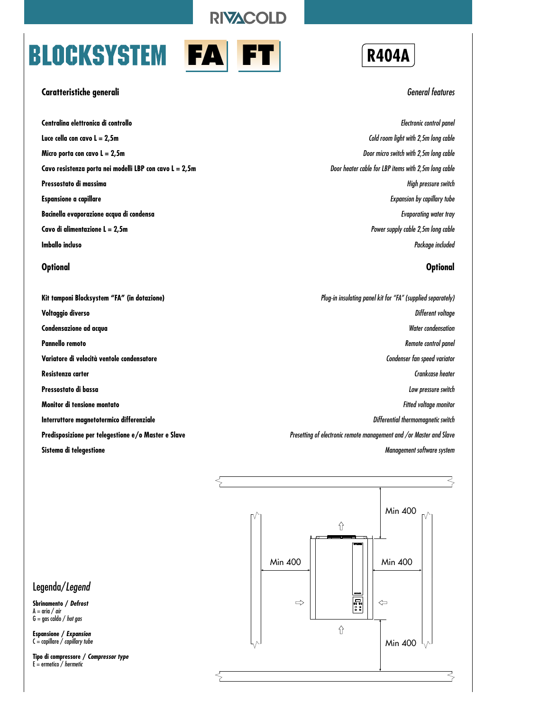**RIVACOLD** 

# **BLOCKSYSTEM**

|--|

#### **Caratteristiche generali**

**Centralina elettronica di controllo Luce cella con cavo L = 2,5m Micro porta con cavo L = 2,5m Cavo resistenza porta nei modelli LBP con cavo L = 2,5m Pressostato di massima Espansione a capillare Bacinella evaporazione acqua di condensa Cavo di alimentazione L = 2,5m Imballo incluso**

#### **Optional**

**Kit tamponi Blocksystem "FA" (in dotazione) Voltaggio diverso Condensazione ad acqua Pannello remoto Variatore di velocità ventole condensatore Resistenza carter Pressostato di bassa Monitor di tensione montato Interruttore magnetotermico differenziale Predisposizione per telegestione e/o Master e Slave Sistema di telegestione**



#### General features

Electronic control panel Cold room light with 2,5m long cable Door micro switch with 2,5m long cable Door heater cable for LBP items with 2,5m long cable High pressure switch Expansion by capillary tube Evaporating water tray Power supply cable 2,5m long cable Package included

#### **Optional**

Plug-in insulating panel kit for "FA" (supplied separately) Different voltage Water condensation Remote control panel Condenser fan speed variator Crankcase heater Low pressure switch Fitted voltage monitor Differential thermomagnetic switch Presetting of electronic remote management and /or Master and Slave Management software system



### Legenda/Legend

**Sbrinamento / Defrost**  $A = \text{aria} / \text{air}$  $G = \frac{1}{100}$  caldo / hot gas

**Espansione / Expansion**  $C =$  capillare  $\overline{\smash{^\prime}}$  capillary tube

**Tipo di compressore / Compressor type**  $E =$  ermetico / hermetic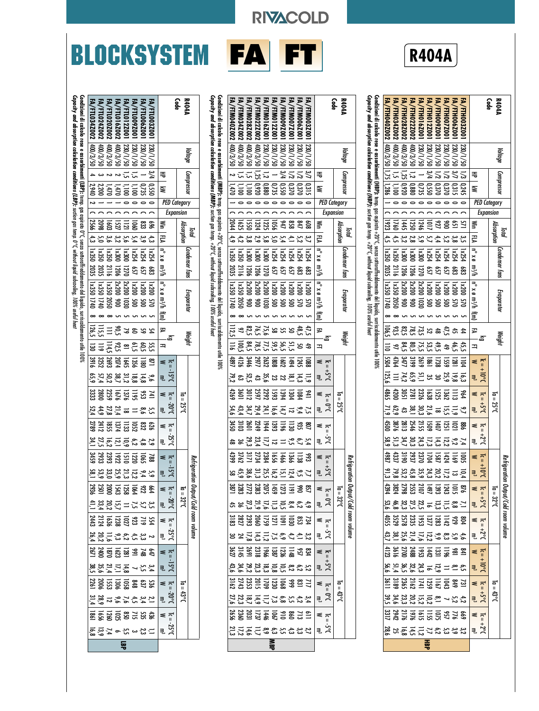|                                                             |                      |        |                                                                                                                                       |                                                                                                                                              |                                                                                      |                             |                       |                        |                        |                         | <b>R404A</b>                     |                        |                         |                                   |
|-------------------------------------------------------------|----------------------|--------|---------------------------------------------------------------------------------------------------------------------------------------|----------------------------------------------------------------------------------------------------------------------------------------------|--------------------------------------------------------------------------------------|-----------------------------|-----------------------|------------------------|------------------------|-------------------------|----------------------------------|------------------------|-------------------------|-----------------------------------|
|                                                             | <b>NP04A</b><br>Code |        | $\mathsf{capacify}$ and absorption calculation conditions (HBP): suction gas temp. +20°C, without liquid subcooling, 100% useful heat | Cordizioni di calcolo rese e assorbimenti (HBP): temp, gas aspirato +20°C, senza sottoraffreddamento del liquido, surriscaldamento uile 100% | EA/FTH040Z002  400/3/50  1,75  1,286   1   0:  1923   4,5   1x350 2035   x350 1740 8 | FA/FTH034Z002               | FA/FTH028Z002         | FA/FTH022Z002          | FA/FTH016Z001 230/1/50 | FA/FTH012Z001 230/1/50  | FA/FTH009Z001                    | FA/FTH007Z001          | FA/FTH006Z001           | FA/FTH003Z001 230/1/50 1/3 0,245  |
|                                                             | Voltage              |        |                                                                                                                                       |                                                                                                                                              |                                                                                      |                             | 05/2/200              | 05/2/201               |                        |                         | 1230/1/50                        | 230/1/50               | 1230/1/50               |                                   |
| Free Season<br>PED Category<br>Expansion                    | Compressor           |        |                                                                                                                                       |                                                                                                                                              |                                                                                      | $ 400/3/50 $ 1,5   1,1   00 | 1,25 0,920            | 1,2 0.880              | 0.735                  | 3/4 0.550               | 1/2 0,370                        | 1/2 0.370              | $\frac{1}{2}$<br> 0,315 |                                   |
|                                                             |                      |        |                                                                                                                                       |                                                                                                                                              |                                                                                      |                             |                       |                        |                        |                         |                                  |                        |                         |                                   |
|                                                             |                      |        |                                                                                                                                       |                                                                                                                                              |                                                                                      |                             |                       |                        |                        |                         |                                  |                        |                         |                                   |
| M   13   γ α π/χεμ και για την καταπολή της ΕΣ<br>= 31   ββ | Absorption           | Total  |                                                                                                                                       |                                                                                                                                              |                                                                                      | $ 1760 $ 4,5                | 1445<br>$\frac{3}{2}$ | 1250                   | 9721<br>$\frac{5}{9}$  | $\overline{a}$<br>راج ا | $\overline{51}$<br>$\frac{4}{4}$ | $\frac{1}{2}$<br>52    | 159 <br>38              | $\frac{15}{15}$<br>$\frac{35}{2}$ |
|                                                             |                      |        |                                                                                                                                       |                                                                                                                                              |                                                                                      |                             |                       |                        |                        |                         |                                  |                        |                         |                                   |
|                                                             | Condenser tans       |        |                                                                                                                                       |                                                                                                                                              |                                                                                      | 1850 2116                   | 1820                  | $\overline{\text{MS}}$ | $\overline{1800}$      | h254                    | 1x254                            | <b>1x254</b>           | <b>PSZX</b>             | 1x254                             |
|                                                             |                      |        |                                                                                                                                       |                                                                                                                                              |                                                                                      |                             | $\overline{200}$      | 502                    | <b>1270</b>            | Sg                      | 55                               | 57                     | និង                     | និ                                |
|                                                             | Evaporator           |        |                                                                                                                                       |                                                                                                                                              |                                                                                      | 1x350 2050                  | 2x20                  | 2x20                   | 2x20                   | 00 <sup>2</sup>         | $\overline{200}$                 | $\overline{\text{MS}}$ | $\overline{181}$        | 00Z×1                             |
|                                                             |                      |        |                                                                                                                                       |                                                                                                                                              |                                                                                      |                             | $\frac{1}{20}$        | ≷                      | ត្ត                    | ğ                       | ጀ                                | ğ                      | χç                      | ប្ត                               |
|                                                             |                      |        |                                                                                                                                       |                                                                                                                                              |                                                                                      |                             |                       |                        |                        |                         |                                  |                        |                         |                                   |
|                                                             |                      | Weight |                                                                                                                                       |                                                                                                                                              | 106,5 110 5504                                                                       | ಜ್ಜ                         |                       |                        | ະະ                     | ZS                      | ಹಿ $\frac{4}{5}$ ಹಿ              |                        |                         | $\ddot{4}$                        |
|                                                             |                      |        |                                                                                                                                       |                                                                                                                                              |                                                                                      | $-97$                       | 64,5                  | ្លី                    | 755                    | $9,5$<br>$53,5$         |                                  |                        | $43.48$<br>$49.28$      |                                   |
| $\overline{\Omega}$                                         |                      |        |                                                                                                                                       |                                                                                                                                              |                                                                                      | 4764                        | 1447                  | 13199                  | 2619                   | 1981                    | 1738                             | $\overline{159}$       | 1281                    | 1104                              |

**Code R404A**

Voltage

Compressor

HP

 $\tilde{\bm{\varepsilon}}$ 

Win  $\overline{\epsilon}$ 

n° x ø m3/h

n° x ø m3/h

 $\bar{\mathbb{F}}$ 

**PED Category** 

Expansion

Total Absorption

Weight

Evaporator

Condenser . fans

Refrigeration Output/Cold room volume Voltage Compressor Condenser fans

 $\leq \frac{1}{2}$  $T_{c} = +10^{\circ}C$ <br>w

kg ∣≖  $\overline{z}$ 

 $\leq \frac{1}{2}$  $\sum_{s=1}^{20}$  $I_{d} = 25^{\circ}$ 

 $\leq \frac{1}{2}$  $T_{c} = +2^{o}C$ <br> $T_{m}$ 

 $\sum_{s=1}^{n}$ <br> $\sum_{s=1}^{n}$ 

 $Ia = 32^{\circ}C$ 

Refrigeration Output/Cold room volume

 $I_0 = 43^{\circ}C$ 

 $\mu = +10^{\circ}C$ <br>  $\mu = -11^{\circ}C$ 

 $\leq \frac{1}{n}$  $T_{c} = +2^{\circ}C$ <br>w<br>m<sup>3</sup>

 $\leq \frac{1}{n}$  $T_{\rm e} = +10^{\circ}C$ 

 $\leq$  $\sum_{s=1}^{m}$ <br> $\sum_{s=1}^{m}$ 

 $\leq \frac{1}{n}$  $J_0J^+$ ₹.

81<br>2000 1200 1200<br>400 1200 1200 1200 71,9 62,9 43 38,1 30,3 21,6 18 15,5 11,9 9,7

8<br>8 2 2 3 3 3 3 3 3 4<br>4 3 3 3 4 3 3 3 4 3 7,4 58,9 51,3 34,7 30,3 24,3 17,3 14,3 12,2 9,2

8<br>25 25 35 35 36 36<br>35 35 35 36 36 37 43,7 38,1 25,6 21,4 17,6 12,2 9,9 8,3 5,9 4,6

4123 3616 2700 2488 1953 1442 1331 1196 981 841 3 유 그 정 이 있 있 있 있 있 있 있 있 있 있 이 있 <u>이 있</u>

73<br>2383<br>235 725 738

8 2 3 3 3 3 3 3 3<br>3 3 3 3 5 5 5 4 5 3 3 3 3 3 3 3 4 5 7 7 8 7 8 9<br>2 4 9 9 9 7 7 7 8 9 9 9

يع بع<br>تہ ج

5,2 4,2 7 23,3 20,2 15,2 10,2 8,1

85<br>25332<br>2333<br>334<br>352 53,6 46,8 32,3 27,5 22,5 16 13,3 11,5 8,8 7,1

1005<br>1587233<br>1987<br>1987 10,4 13 91,3 79,8 53,2 45,8 35,9 24,3 20,2 17,2

5 호영영 8 전 중 1

**HBP**

| <b>iy and absorption calculation conditions (HBP):</b> suction gas temp. +20°C, without liquid subcooling, 100% useful heat |                                                                                                                                                                                                                               |
|-----------------------------------------------------------------------------------------------------------------------------|-------------------------------------------------------------------------------------------------------------------------------------------------------------------------------------------------------------------------------|
|                                                                                                                             |                                                                                                                                                                                                                               |
|                                                                                                                             |                                                                                                                                                                                                                               |
|                                                                                                                             |                                                                                                                                                                                                                               |
|                                                                                                                             | tion diverse e asso e associations as a minimity (HBP); team capic diversions of the propertion diversion of the log of the liquid of the liquid of the liquid of the liquid of the liquid of the liquid of the liquid of the |

 $\overline{12,6}$ 

|                             | Voltage        | Compressor                        |                     |                  |      |                   | Condenser fans                      | Evaporator                                         | Weigh                                                                          |                                     |                |                                      |                      |                           |                              |                                                        |                                                          |                     |                                                                                                | Ketrigeration Uutput/Lold room volume                  |                          |                                 |            |                                          |                       |            |     |
|-----------------------------|----------------|-----------------------------------|---------------------|------------------|------|-------------------|-------------------------------------|----------------------------------------------------|--------------------------------------------------------------------------------|-------------------------------------|----------------|--------------------------------------|----------------------|---------------------------|------------------------------|--------------------------------------------------------|----------------------------------------------------------|---------------------|------------------------------------------------------------------------------------------------|--------------------------------------------------------|--------------------------|---------------------------------|------------|------------------------------------------|-----------------------|------------|-----|
| R404<br>R404                |                |                                   | <b>PED Category</b> | <b>Expansion</b> |      |                   |                                     |                                                    |                                                                                |                                     |                |                                      | $I_0 = 25^{\circ}$ C |                           |                              |                                                        |                                                          | $I_0 = 32^{\circ}C$ |                                                                                                |                                                        |                          |                                 |            | $a = 43^{\circ}$                         |                       |            |     |
|                             |                |                                   |                     |                  |      |                   |                                     |                                                    |                                                                                |                                     | $J_0S^+=12$    |                                      | $Ic = 0^{\circ}C$    | $J_0S^{-1}1$              |                              | $\mu = +5^{\circ}C$<br>$y^{\circ} = 3^{\circ}C$        |                                                          |                     |                                                                                                |                                                        |                          | $\overline{a}$                  |            |                                          | $k = 1$               |            |     |
|                             |                | ₹<br>≩                            |                     |                  | Š    | ይ                 | $\frac{1}{2}$ x a m <sup>3</sup> /h | nº x ø mª/h f(m)                                   | צ<br> <br>ב ⊿                                                                  | ≼                                   | <sub>킂.</sub>  | ≼                                    | ₹                    | ≼                         | ₹,                           |                                                        |                                                          |                     | $\begin{aligned} \n\mathbb{E} \mathbf{0}^{\mathsf{c}} \mathbf{0}^{\mathsf{c}} \n\end{aligned}$ | $J_0S^2 = 2I$                                          |                          | ≼                               | ಕ್ತ್ದೆಕ್ಕೆ | $\mu = 0^{\circ}C$<br>$\mu = 0^{\circ}C$ |                       | ្ធ<br>ភូមិ |     |
| FA/FTM003Z00                | 05/1/020       | $\frac{1}{2}$<br> 0.315           | $\circ$             |                  | ខ្ល  | یں<br>ا           | 1x254<br>ន្លិ                       |                                                    |                                                                                |                                     | $\overline{5}$ | 116                                  |                      | ືອ                        |                              |                                                        |                                                          |                     | 4,9                                                                                            |                                                        |                          |                                 |            |                                          |                       |            |     |
| <b>FA/FTM006Z00</b>         | 230/1/50   1/2 | 0.370                             | $\bullet$           |                  | 547  | 52                | <b>N254</b><br>ន្លិ                 | 18281                                              | ង<br>ខ                                                                         |                                     | $\frac{14}{3}$ |                                      |                      |                           |                              |                                                        |                                                          |                     | 79                                                                                             |                                                        |                          |                                 |            |                                          |                       |            |     |
| <b>FA/FTMO</b>              | 230/1/50 1/2   |                                   | $\circ$             |                  | ន្ធ  |                   | v254                                |                                                    |                                                                                |                                     | ្រុ            |                                      |                      |                           | $=5555$                      |                                                        |                                                          |                     |                                                                                                |                                                        |                          |                                 |            |                                          |                       |            |     |
| <b>FA/FTMC</b>              | 05/1/020       | $\frac{1}{2}$                     | $\mathbf{\circ}$    |                  | 747  |                   | <b>N254</b><br><u>ទ្ម ទ្ម</u>       |                                                    |                                                                                |                                     | 22             |                                      |                      |                           |                              |                                                        |                                                          |                     |                                                                                                |                                                        |                          |                                 |            |                                          |                       |            |     |
| FA/FTM012Z00                | 230/1/50       | 0,370<br>0,572<br>0,0,78<br>0,920 | $\bullet$           |                  | ទ្ធ  |                   | <b>N254</b><br>Ľ9                   | 1x200<br>1x200<br>2x200<br>2x200<br><b>ggggggg</b> | 17 3 3 3 3 3 3 3 3 4 3 4<br>17 3 3 3 3 3 3 4 3 4 3 4<br><b><i>18893855</i></b> | 108<br>1245<br>2022<br>1897<br>1897 | ಜ              | 1084<br>1952<br>2052<br>2053<br>2059 | <b>たりにはいるまままま</b>    | 83<br>1923<br>1924<br>194 |                              | <b>923</b><br>1131 24 26 26 27<br>27<br>27<br>27<br>27 | 7. 9. 12 12 12 13 18 18 18<br>17 19 11 12 12 12 13 18 18 |                     | 325562                                                                                         | <b>73 83 85 75 86 86 76 86</b><br>20 86 86 86 86 87 88 | 3 <i>.</i> 수수영정 그 모든 정 8 | 835 1288 1288<br>1288 1288 1287 |            |                                          | <b>의금 용음 호</b> 출 중 용영 |            | るので |
| <b>FA/FTM016Z001</b>        | 1230/1/50      | $\overline{z}$                    | $\bullet$           |                  | 521  |                   | $\overline{2}$                      |                                                    |                                                                                |                                     |                |                                      |                      |                           |                              |                                                        |                                                          |                     |                                                                                                |                                                        |                          |                                 |            |                                          |                       |            |     |
| <b>FA/FTMO</b><br>1222002   | 05/2/00        | $\frac{1}{25}$                    | $\circ$             |                  | 1324 |                   | 105<br>$\overline{206}$             | ă                                                  |                                                                                |                                     | 32 to 52 co    |                                      |                      |                           |                              |                                                        |                                                          |                     |                                                                                                |                                                        |                          |                                 |            |                                          |                       |            |     |
| FA/FTM(<br>128Z002          | 05/8/00+       | $\frac{1}{10}$                    |                     |                  | ຼິຍ  |                   | $108\times$<br>$\overline{300}$     | 2x200                                              |                                                                                |                                     |                |                                      |                      |                           |                              | $\frac{3}{17}$                                         |                                                          |                     |                                                                                                |                                                        |                          |                                 |            |                                          |                       |            |     |
| FA/FTM(<br><b>Z00Z760</b>   | 05/8/00+       | $\overline{a}$                    | $\circ$             |                  | 1625 | $\frac{4.5}{4.3}$ | <b>Ix350</b><br>2116                | <b>Ix350</b><br>설 용<br>증 정<br>œ                    |                                                                                |                                     |                |                                      |                      | 260<br>3103<br>345        | 1 1 1 1 3 1 3 4 <del>8</del> | 3762<br>439                                            |                                                          |                     | 34<br>42                                                                                       |                                                        |                          |                                 |            |                                          |                       |            |     |
| FA/FTM040Z002  400/3/50   2 |                | 0171                              |                     |                  | 2044 |                   | <b>USSK1</b><br>2035                | <b>DSEX1</b><br>$\sim$                             | $\equiv$                                                                       |                                     | 79,2           |                                      |                      |                           |                              |                                                        |                                                          |                     |                                                                                                |                                                        |                          |                                 |            |                                          |                       |            |     |
|                             |                |                                   |                     |                  |      |                   |                                     |                                                    |                                                                                |                                     |                |                                      |                      |                           |                              |                                                        |                                                          |                     |                                                                                                |                                                        |                          |                                 |            |                                          |                       |            |     |

**Condizioni di calcolo rese e assorbimenti (MBP):** temp. gas aspirato +20°C, senza sottoraffreddamento del liquido, surriscaldamento utile 100%

**Condizioni di calcolo rese e assorbimenti (MBP):** tamp, gas aspirato +20°C, senza sottoraffreddamento del liquido, surriscaldamento utile 100%<br>**Capacity and absorption calculation conditions (MBP):** suction gas temp. +20° **Capacity and absorption calculation conditions (MBP):** suction gas temp. +20°C, without liquid subcooling, 100% useful heat

|                     |                                             |            |                            |                                  |       |                       |                   |                |                  |            |                                |                |                                                                                                                |                          |      |                |                               |                                                          |                             | Refrig        |                                            |                      |                                                                 | eration Output/Cold room volume        |                     |                                                           |                                        |                                                      |                                                          |                   |                            |
|---------------------|---------------------------------------------|------------|----------------------------|----------------------------------|-------|-----------------------|-------------------|----------------|------------------|------------|--------------------------------|----------------|----------------------------------------------------------------------------------------------------------------|--------------------------|------|----------------|-------------------------------|----------------------------------------------------------|-----------------------------|---------------|--------------------------------------------|----------------------|-----------------------------------------------------------------|----------------------------------------|---------------------|-----------------------------------------------------------|----------------------------------------|------------------------------------------------------|----------------------------------------------------------|-------------------|----------------------------|
| R404A<br>Gde        | Voltage                                     | Compressor |                            | <b>PED Category</b><br>Expansion |       | Absorption            |                   | Condenser fans |                  | Evaporator |                                | Weight         |                                                                                                                |                          |      |                | $n = 25^{\circ}$ C            |                                                          |                             |               |                                            | $I_0 = 32^{\circ}$ C |                                                                 |                                        |                     |                                                           |                                        | $1a = 43^{\circ}$                                    |                                                          |                   |                            |
|                     |                                             |            |                            |                                  |       |                       |                   |                |                  |            |                                |                |                                                                                                                |                          |      |                |                               | $Ic = -15^\circ C$ $Ic = -20^\circ C$ $Ic = -25^\circ C$ |                             | $\frac{1}{2}$ |                                            |                      |                                                                 |                                        |                     |                                                           |                                        |                                                      |                                                          | $=$ $\frac{1}{2}$ | $-25^{\circ}$              |
|                     |                                             | ₹          | ≩                          |                                  |       | Š.<br><sub>다시</sub>   |                   |                |                  |            | n° x ø m3/h   n° x ø m3/h f(m) | $\frac{1}{2}$  | $\overline{z}$                                                                                                 | $\overline{\phantom{a}}$ | ₹.   | ≼              | 킋                             | ≼                                                        | <sub>링.</sub>               |               | न्दू<br>$\frac{5}{6}$                      | $\leq$               | $\begin{bmatrix} 1 & 1 \\ 1 & 0 \\ 0 & 0 \end{bmatrix}$ = -20°C | $\leq$<br>$V = -25^{\circ}C$           |                     | $\begin{bmatrix} w & w \\ 3s1-s1 \end{bmatrix}$<br>$\leq$ |                                        | $\begin{vmatrix} 6m & 1 \\ 100c & -30 \end{vmatrix}$ |                                                          | ≼                 | ٣Î                         |
| FA/FTL003Z00        | 0530/1/50 3/4 0.550                         |            |                            | $\frac{1}{2}$                    |       | 969<br>4,             | 1x254             | និង            | $107\times1$     | 570        |                                | ሄ              | ξç                                                                                                             | $\overline{18}$          |      | $\overline{H}$ |                               | 979                                                      |                             | 788           | 5 9 5 5 5 9 9 9 9 9<br>9 4 5 5 5 9 9 9 9 9 |                      | رہ یہ<br>ساتہ                                                   |                                        |                     |                                                           |                                        |                                                      |                                                          |                   |                            |
| FA/FTL006Z00        | 0S/1/0EZ                                    | 1  0,735   |                            |                                  |       | జ<br>ین<br>م          | <b>Ix254</b>      | S)             | $\overline{181}$ | ຮູ         |                                |                |                                                                                                                | $\frac{1}{8}$            | 14,8 | និ             | 5,5<br>8,6                    | ឌី                                                       | $\frac{2}{9}$ $\frac{4}{9}$ | g             |                                            |                      |                                                                 |                                        |                     |                                                           |                                        |                                                      |                                                          |                   |                            |
| FA/FTL009Z00        | 230/1/50                                    | 1,5 1,100  |                            |                                  |       | <b>DBC</b><br>54      | <b>N254</b>       | ξą             | 10ZX             | ຮູ         |                                | g              | ဌို                                                                                                            | 1356                     | 188  | 5611           |                               | ទ្ឆ                                                      | č,                          | <b>N20</b>    |                                            |                      |                                                                 |                                        |                     |                                                           |                                        |                                                      |                                                          |                   | $\supseteq$ $\mathbb{S}$ ಒ |
| FA/FTL012Z00        | 0S/1/0EZ                                    |            | $\overline{\phantom{a}}$   |                                  |       | $\overline{15}$<br>ېژ | $\overline{1800}$ | มฆ             | 00ZXZ            | ន្តព       |                                |                |                                                                                                                | 1645                     | 31,2 | 1376           | ಹ                             | $\overline{5}$                                           | ្តី                         | <u>si</u>     |                                            |                      |                                                                 |                                        |                     |                                                           |                                        |                                                      |                                                          |                   | 듛                          |
| <b>FA/FTL016Z00</b> | 05/8/00t                                    |            | 1/470                      |                                  |       | List<br>ب<br>ما       | $\overline{1800}$ | <b>1206</b>    | 2×200            | ă          |                                | ຽ້             | 92,5                                                                                                           | 2074                     | 387  | 929            |                               | ្មរ                                                      |                             |               |                                            |                      | 12 = 12 12 14 14                                                | 55<br>25 52 52 52 73<br>25 52 52 52 53 | 2 3 4 5 3 7 8 7 8 7 |                                                           | 3.5.7 1 2.7.2.3.83<br>オカノル 3.7.7.4.9.2 | 33<br>28 28 38 38 38                                 | $2, 3, 4, 7, 8, 12, 23, 34$<br>$-4, 7, 6, 8, 12, 23, 34$ | \$\$\$\$\$\$\$\$  | S 등 그 ~ 兴                  |
| FA/FTL020Z00        | 05/8/00#                                    |            | $02b^2$                    |                                  |       | ខ្លួ                  | <b>Ix350</b>      | $\frac{2}{10}$ | 11x350           | <b>DEO</b> |                                |                |                                                                                                                |                          | 50,2 | 2259           |                               | ទ្រុ                                                     | $\frac{12}{16}$             | 1922<br>2393  |                                            |                      |                                                                 |                                        |                     |                                                           |                                        |                                                      |                                                          |                   |                            |
| FA/FTL024Z00:       | 05/2/00t                                    |            | $\left 2,200\right\rangle$ |                                  | 12098 |                       | <b>USSK1</b>      | 2035           | 1x350            | 1740       |                                |                | $\overline{611}$<br>$\begin{array}{ l } \hline 114,5 & 2693 \\ 119 & 3252 \\ 130 & 3916 \\ \hline \end{array}$ |                          | 57,4 | 0087           | 21242<br>21242<br>4. 8. 9. 4. | 741                                                      | 27.5<br>34.1                | 2933          |                                            |                      |                                                                 |                                        |                     |                                                           |                                        |                                                      |                                                          |                   |                            |
| FA/FTL034Z002       | $ 400/3/50 $ 4   2,940   2   C   2566   4,3 |            |                            |                                  |       |                       |                   | 1x350 2035     |                  |            | 1x350 1740 8                   | $\frac{1}{25}$ |                                                                                                                |                          | 629  | <b>3333</b>    |                               | $-1289$                                                  |                             | 3459          |                                            |                      |                                                                 |                                        |                     |                                                           |                                        |                                                      |                                                          |                   |                            |

**BLOCKSYSTEM** 

**Capacity and absorption calculation conditions (LBP):** surtion gas temp. O°C, without liquid subcooling, 100% useful heat **Capacity and absorption calculation conditions (LBP):** suction gas temp. 0°C, without liquid subcooling, 100% useful heat

**RIVACOLD** 

**FA**